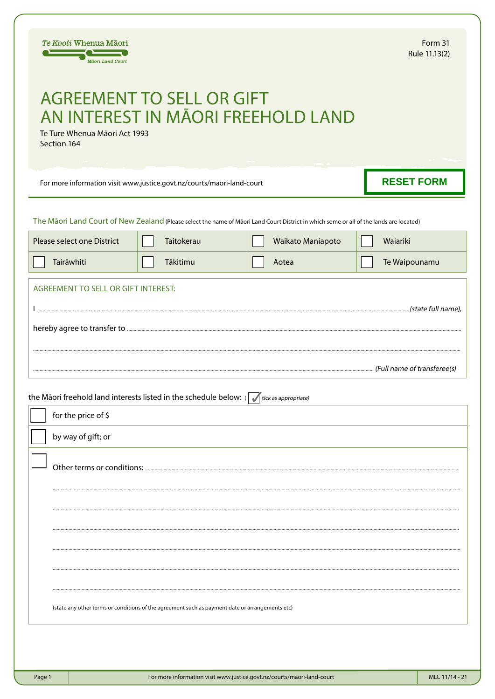|                                                                                                                        | Te Kooti Whenua Māori<br>Māori Land Court                              |                                                                                                                                         |                   | Form 31<br>Rule 11.13(2) |  |  |  |  |  |
|------------------------------------------------------------------------------------------------------------------------|------------------------------------------------------------------------|-----------------------------------------------------------------------------------------------------------------------------------------|-------------------|--------------------------|--|--|--|--|--|
| <b>AGREEMENT TO SELL OR GIFT</b><br>AN INTEREST IN MĀORI FREEHOLD LAND<br>Te Ture Whenua Māori Act 1993<br>Section 164 |                                                                        |                                                                                                                                         |                   |                          |  |  |  |  |  |
|                                                                                                                        | For more information visit www.justice.govt.nz/courts/maori-land-court | <b>RESET FORM</b>                                                                                                                       |                   |                          |  |  |  |  |  |
|                                                                                                                        |                                                                        | The Māori Land Court of New Zealand (Please select the name of Māori Land Court District in which some or all of the lands are located) |                   |                          |  |  |  |  |  |
|                                                                                                                        | Please select one District                                             | Taitokerau                                                                                                                              | Waikato Maniapoto | Waiariki                 |  |  |  |  |  |
|                                                                                                                        | Tairāwhiti                                                             | Tākitimu                                                                                                                                | Aotea             | Te Waipounamu            |  |  |  |  |  |
| AGREEMENT TO SELL OR GIFT INTEREST:                                                                                    |                                                                        |                                                                                                                                         |                   |                          |  |  |  |  |  |
|                                                                                                                        |                                                                        |                                                                                                                                         |                   |                          |  |  |  |  |  |
|                                                                                                                        | for the price of \$                                                    | the Māori freehold land interests listed in the schedule below: ( $\sqrt{\frac{1}{1}}$ tick as appropriate)                             |                   |                          |  |  |  |  |  |
|                                                                                                                        | by way of gift; or                                                     |                                                                                                                                         |                   |                          |  |  |  |  |  |
|                                                                                                                        |                                                                        |                                                                                                                                         |                   |                          |  |  |  |  |  |
|                                                                                                                        |                                                                        |                                                                                                                                         |                   |                          |  |  |  |  |  |
|                                                                                                                        |                                                                        |                                                                                                                                         |                   |                          |  |  |  |  |  |
|                                                                                                                        |                                                                        | (state any other terms or conditions of the agreement such as payment date or arrangements etc)                                         |                   |                          |  |  |  |  |  |
|                                                                                                                        |                                                                        |                                                                                                                                         |                   |                          |  |  |  |  |  |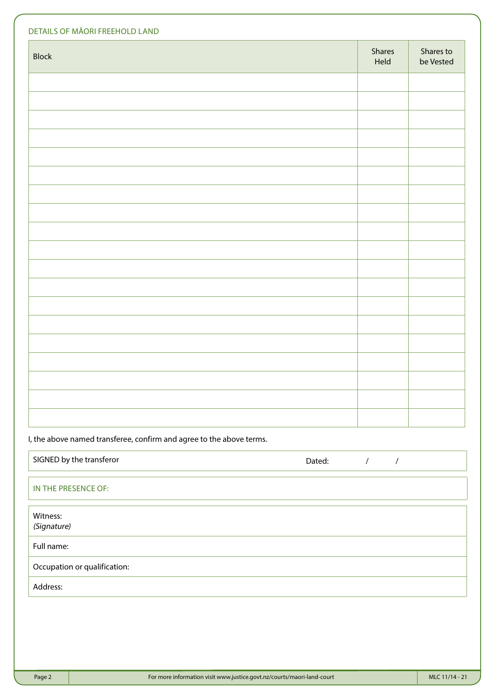| DETAILS OF MĀORI FREEHOLD LAND |                |                        |  |  |  |  |
|--------------------------------|----------------|------------------------|--|--|--|--|
| <b>Block</b>                   | Shares<br>Held | Shares to<br>be Vested |  |  |  |  |
|                                |                |                        |  |  |  |  |
|                                |                |                        |  |  |  |  |
|                                |                |                        |  |  |  |  |
|                                |                |                        |  |  |  |  |
|                                |                |                        |  |  |  |  |
|                                |                |                        |  |  |  |  |
|                                |                |                        |  |  |  |  |
|                                |                |                        |  |  |  |  |
|                                |                |                        |  |  |  |  |
|                                |                |                        |  |  |  |  |
|                                |                |                        |  |  |  |  |
|                                |                |                        |  |  |  |  |
|                                |                |                        |  |  |  |  |
|                                |                |                        |  |  |  |  |
|                                |                |                        |  |  |  |  |
|                                |                |                        |  |  |  |  |
|                                |                |                        |  |  |  |  |
|                                |                |                        |  |  |  |  |

I, the above named transferee, confirm and agree to the above terms.

| SIGNED by the transferor     | Dated: |  |
|------------------------------|--------|--|
| IN THE PRESENCE OF:          |        |  |
| Witness:<br>(Signature)      |        |  |
| Full name:                   |        |  |
| Occupation or qualification: |        |  |
| Address:                     |        |  |